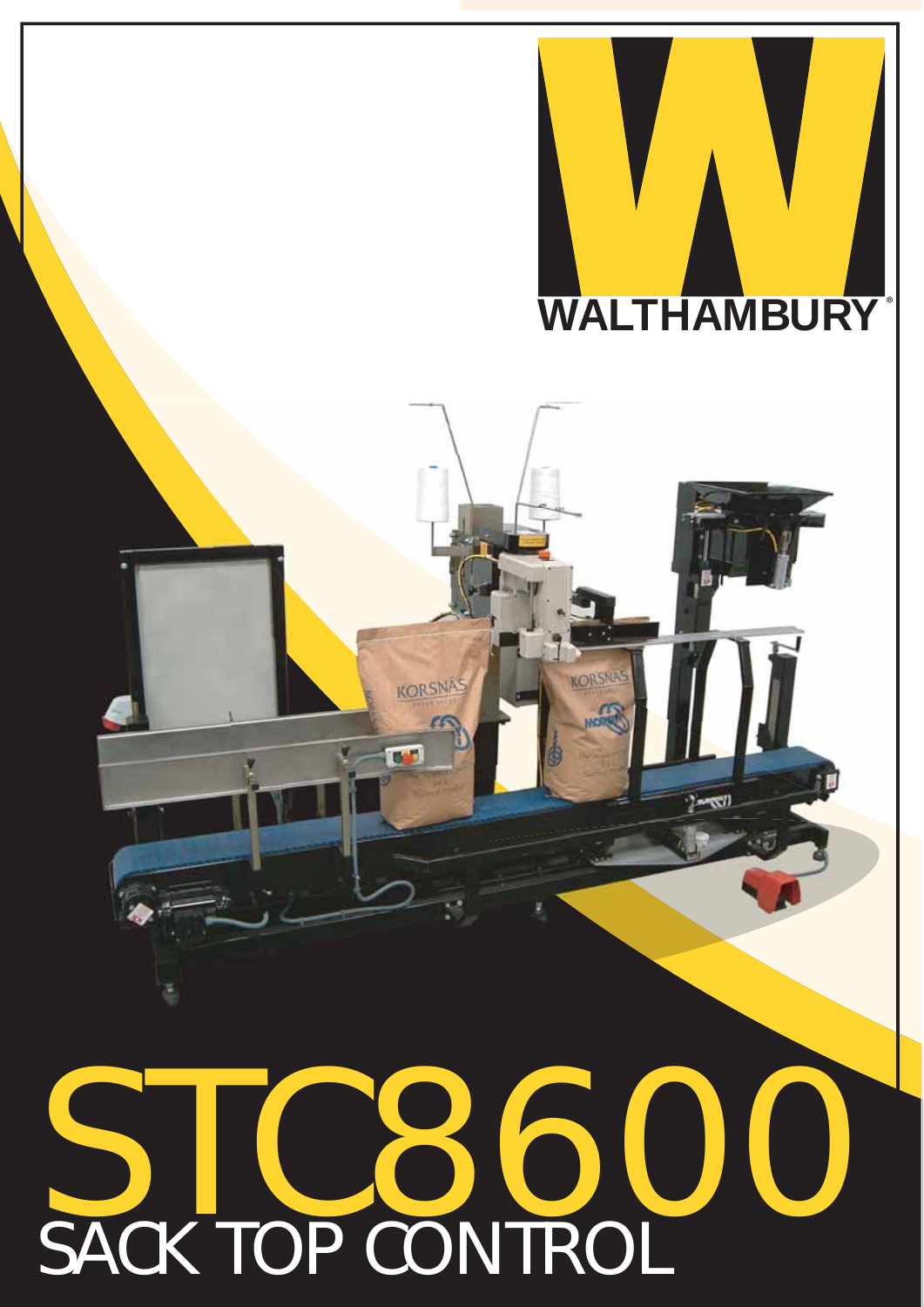